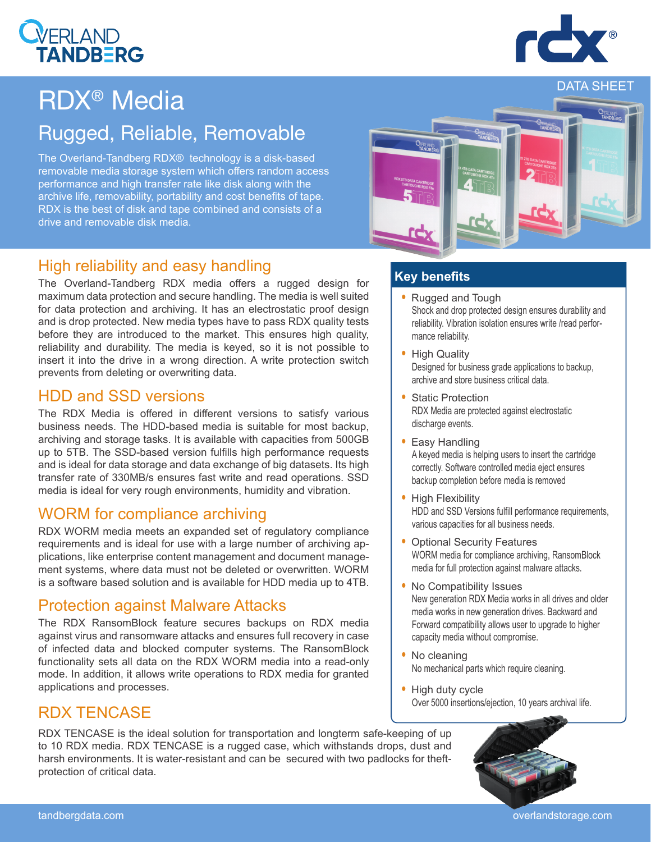#### tandbergdata.com overlandstorage.com

# RDX® Media

## Rugged, Reliable, Removable

The Overland-Tandberg RDX® technology is a disk-based removable media storage system which offers random access performance and high transfer rate like disk along with the archive life, removability, portability and cost benefits of tape. RDX is the best of disk and tape combined and consists of a drive and removable disk media.

#### High reliability and easy handling

The Overland-Tandberg RDX media offers a rugged design for maximum data protection and secure handling. The media is well suited for data protection and archiving. It has an electrostatic proof design and is drop protected. New media types have to pass RDX quality tests before they are introduced to the market. This ensures high quality, reliability and durability. The media is keyed, so it is not possible to insert it into the drive in a wrong direction. A write protection switch prevents from deleting or overwriting data.

#### HDD and SSD versions

The RDX Media is offered in different versions to satisfy various business needs. The HDD-based media is suitable for most backup, archiving and storage tasks. It is available with capacities from 500GB up to 5TB. The SSD-based version fulfills high performance requests and is ideal for data storage and data exchange of big datasets. Its high transfer rate of 330MB/s ensures fast write and read operations. SSD media is ideal for very rough environments, humidity and vibration.

#### WORM for compliance archiving

RDX WORM media meets an expanded set of regulatory compliance requirements and is ideal for use with a large number of archiving applications, like enterprise content management and document management systems, where data must not be deleted or overwritten. WORM is a software based solution and is available for HDD media up to 4TB.

#### Protection against Malware Attacks

The RDX RansomBlock feature secures backups on RDX media against virus and ransomware attacks and ensures full recovery in case of infected data and blocked computer systems. The RansomBlock functionality sets all data on the RDX WORM media into a read-only mode. In addition, it allows write operations to RDX media for granted applications and processes.

### RDX TENCASE

RDX TENCASE is the ideal solution for transportation and longterm safe-keeping of up to 10 RDX media. RDX TENCASE is a rugged case, which withstands drops, dust and harsh environments. It is water-resistant and can be secured with two padlocks for theftprotection of critical data.

#### **Key benefits**

- Rugged and Tough Shock and drop protected design ensures durability and reliability. Vibration isolation ensures write /read performance reliability.
- High Quality Designed for business grade applications to backup, archive and store business critical data.
- Static Protection RDX Media are protected against electrostatic discharge events.
- Easy Handling A keyed media is helping users to insert the cartridge correctly. Software controlled media eject ensures backup completion before media is removed
- High Flexibility HDD and SSD Versions fulfill performance requirements, various capacities for all business needs.
- Optional Security Features WORM media for compliance archiving, RansomBlock media for full protection against malware attacks.
- No Compatibility Issues New generation RDX Media works in all drives and older media works in new generation drives. Backward and Forward compatibility allows user to upgrade to higher capacity media without compromise.
- No cleaning No mechanical parts which require cleaning.
- High duty cycle Over 5000 insertions/ejection, 10 years archival life.







## DATA SHEET